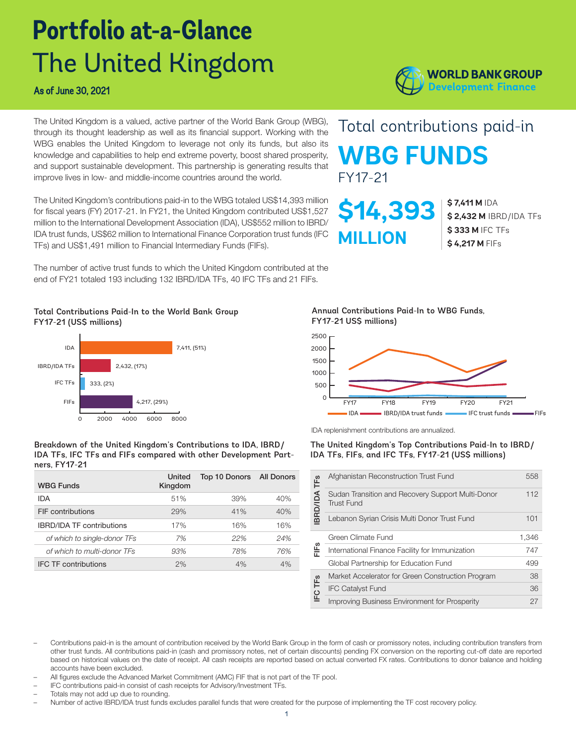# **Portfolio at-a-Glance** The United Kingdom

The United Kingdom is a valued, active partner of the World Bank Group (WBG), through its thought leadership as well as its financial support. Working with the WBG enables the United Kingdom to leverage not only its funds, but also its knowledge and capabilities to help end extreme poverty, boost shared prosperity, and support sustainable development. This partnership is generating results that improve lives in low- and middle-income countries around the world.

The United Kingdom's contributions paid-in to the WBG totaled US\$14,393 million for fiscal years (FY) 2017-21. In FY21, the United Kingdom contributed US\$1,527 million to the International Development Association (IDA), US\$552 million to IBRD/ IDA trust funds, US\$62 million to International Finance Corporation trust funds (IFC TFs) and US\$1,491 million to Financial Intermediary Funds (FIFs).

The number of active trust funds to which the United Kingdom contributed at the end of FY21 totaled 193 including 132 IBRD/IDA TFs, 40 IFC TFs and 21 FIFs.

#### Total Contributions Paid-In to the World Bank Group FY17-21 (US\$ millions)



#### Breakdown of the United Kingdom's Contributions to IDA, IBRD/ IDA TFs, IFC TFs and FIFs compared with other Development Partners, FY17-21

| <b>WBG Funds</b>                 | United<br>Kingdom | Top 10 Donors All Donors |     |
|----------------------------------|-------------------|--------------------------|-----|
| IDA                              | 51%               | 39%                      | 40% |
| FIF contributions                | 29%               | 41%                      | 40% |
| <b>IBRD/IDA TF contributions</b> | 17%               | 16%                      | 16% |
| of which to single-donor TFs     | 7%                | 22%                      | 24% |
| of which to multi-donor TFs      | 93%               | 78%                      | 76% |
| <b>IFC TF contributions</b>      | 2%                | 4%                       | 4%  |

Annual Contributions Paid-In to WBG Funds, FY17-21 US\$ millions)

**\$14,393**

**MILLION**

FY17-21



IDA replenishment contributions are annualized.

#### The United Kingdom's Top Contributions Paid-In to IBRD/ IDA TFs, FIFs, and IFC TFs, FY17-21 (US\$ millions)

|                         | Afghanistan Reconstruction Trust Fund                                  | 558   |
|-------------------------|------------------------------------------------------------------------|-------|
| BRD/IDA TF <sub>S</sub> | Sudan Transition and Recovery Support Multi-Donor<br><b>Trust Fund</b> | 112   |
|                         | Lebanon Syrian Crisis Multi Donor Trust Fund                           | 101   |
|                         | Green Climate Fund                                                     | 1,346 |
| FIFs                    | International Finance Facility for Immunization                        | 747   |
|                         | Global Partnership for Education Fund                                  | 499   |
|                         | Market Accelerator for Green Construction Program                      | 38    |
| IFC TF <sub>S</sub>     | <b>IFC Catalyst Fund</b>                                               | 36    |
|                         | Improving Business Environment for Prosperity                          | 27    |

- Contributions paid-in is the amount of contribution received by the World Bank Group in the form of cash or promissory notes, including contribution transfers from other trust funds. All contributions paid-in (cash and promissory notes, net of certain discounts) pending FX conversion on the reporting cut-off date are reported based on historical values on the date of receipt. All cash receipts are reported based on actual converted FX rates. Contributions to donor balance and holding accounts have been excluded.
- All figures exclude the Advanced Market Commitment (AMC) FIF that is not part of the TF pool.
- IFC contributions paid-in consist of cash receipts for Advisory/Investment TFs.
- Totals may not add up due to rounding.
- Number of active IBRD/IDA trust funds excludes parallel funds that were created for the purpose of implementing the TF cost recovery policy.



Total contributions paid-in

**WBG FUNDS**

**\$ 7,411 M** IDA

**\$ 333 M** IFC TFs **\$ 4,217 M** FIFs

**\$ 2,432 M** IBRD/IDA TFs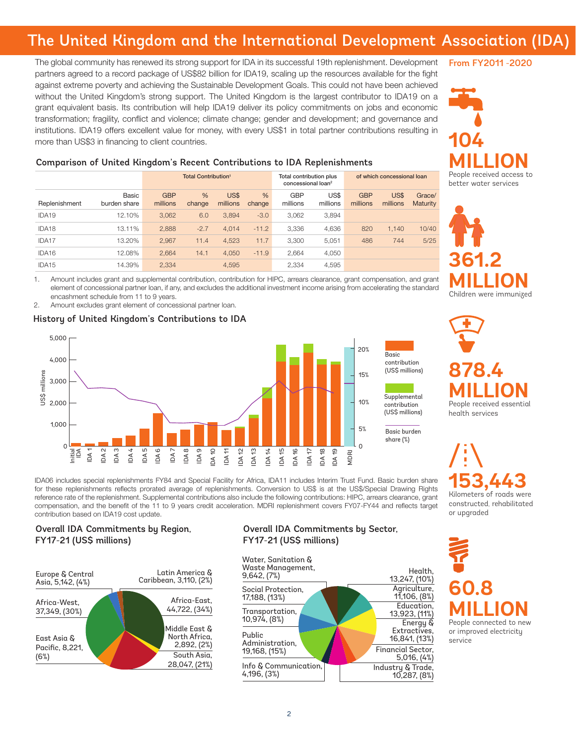## The United Kingdom and the International Development Association (IDA)

The global community has renewed its strong support for IDA in its successful 19th replenishment. Development partners agreed to a record package of US\$82 billion for IDA19, scaling up the resources available for the fight against extreme poverty and achieving the Sustainable Development Goals. This could not have been achieved without the United Kingdom's strong support. The United Kingdom is the largest contributor to IDA19 on a grant equivalent basis. Its contribution will help IDA19 deliver its policy commitments on jobs and economic transformation; fragility, conflict and violence; climate change; gender and development; and governance and institutions. IDA19 offers excellent value for money, with every US\$1 in total partner contributions resulting in more than US\$3 in financing to client countries.

#### From FY2011 -2020

**104 MILLION** People received access to better water services

#### Comparison of United Kingdom's Recent Contributions to IDA Replenishments

|                   |                       | <b>Total Contribution<sup>1</sup></b> |             | Total contribution plus<br>concessional loan <sup>2</sup> |             | of which concessional loan |                  |                        |                  |                    |
|-------------------|-----------------------|---------------------------------------|-------------|-----------------------------------------------------------|-------------|----------------------------|------------------|------------------------|------------------|--------------------|
| Replenishment     | Basic<br>burden share | <b>GBP</b><br>millions                | %<br>change | US\$<br>millions                                          | %<br>change | <b>GBP</b><br>millions     | US\$<br>millions | <b>GBP</b><br>millions | US\$<br>millions | Grace/<br>Maturity |
| IDA <sub>19</sub> | 12.10%                | 3.062                                 | 6.0         | 3.894                                                     | $-3.0$      | 3.062                      | 3.894            |                        |                  |                    |
| IDA18             | 13.11%                | 2,888                                 | $-2.7$      | 4.014                                                     | $-11.2$     | 3.336                      | 4,636            | 820                    | 1.140            | 10/40              |
| IDA17             | 13.20%                | 2.967                                 | 11.4        | 4.523                                                     | 11.7        | 3.300                      | 5.051            | 486                    | 744              | 5/25               |
| IDA16             | 12.08%                | 2.664                                 | 14.1        | 4.050                                                     | $-11.9$     | 2.664                      | 4,050            |                        |                  |                    |
| IDA <sub>15</sub> | 14.39%                | 2.334                                 |             | 4.595                                                     |             | 2.334                      | 4.595            |                        |                  |                    |

1. Amount includes grant and supplemental contribution, contribution for HIPC, arrears clearance, grant compensation, and grant element of concessional partner loan, if any, and excludes the additional investment income arising from accelerating the standard encashment schedule from 11 to 9 years.

2. Amount excludes grant element of concessional partner loan.

#### History of United Kingdom's Contributions to IDA



**878.4 MILLION** People received essential

**361.2** 

**MILLION** Children were immunized

health services

**153,443**<br>Kilometers of roads were constructed, rehabilitated

or upgraded

## **60.8 MILLION** People connected to new

or improved electricity service

IDA06 includes special replenishments FY84 and Special Facility for Africa, IDA11 includes Interim Trust Fund. Basic burden share for these replenishments reflects prorated average of replenishments. Conversion to US\$ is at the US\$/Special Drawing Rights reference rate of the replenishment. Supplemental contributions also include the following contributions: HIPC, arrears clearance, grant compensation, and the benefit of the 11 to 9 years credit acceleration. MDRI replenishment covers FY07-FY44 and reflects target contribution based on IDA19 cost update.

#### Overall IDA Commitments by Region, FY17-21 (US\$ millions)



#### Overall IDA Commitments by Sector, FY17-21 (US\$ millions)

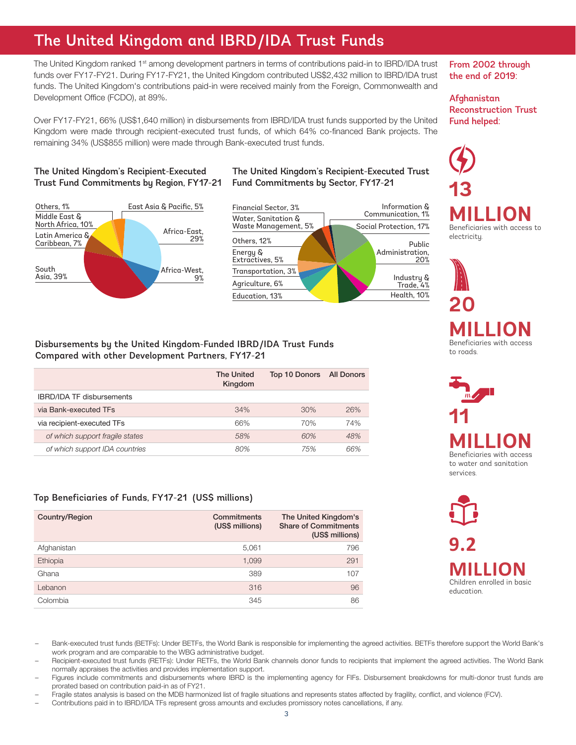## The United Kingdom and IBRD/IDA Trust Funds

The United Kingdom ranked 1<sup>st</sup> among development partners in terms of contributions paid-in to IBRD/IDA trust funds over FY17-FY21. During FY17-FY21, the United Kingdom contributed US\$2,432 million to IBRD/IDA trust funds. The United Kingdom's contributions paid-in were received mainly from the Foreign, Commonwealth and Development Office (FCDO), at 89%.

Over FY17-FY21, 66% (US\$1,640 million) in disbursements from IBRD/IDA trust funds supported by the United Kingdom were made through recipient-executed trust funds, of which 64% co-financed Bank projects. The remaining 34% (US\$855 million) were made through Bank-executed trust funds.

#### The United Kingdom's Recipient-Executed Trust Fund Commitments by Region, FY17-21



#### The United Kingdom's Recipient-Executed Trust Fund Commitments by Sector, FY17-21



#### Disbursements by the United Kingdom-Funded IBRD/IDA Trust Funds Compared with other Development Partners, FY17-21

|                                  | <b>The United</b><br>Kingdom | Top 10 Donors All Donors |     |
|----------------------------------|------------------------------|--------------------------|-----|
| <b>IBRD/IDA TF disbursements</b> |                              |                          |     |
| via Bank-executed TFs            | 34%                          | 30%                      | 26% |
| via recipient-executed TFs       | 66%                          | 70%                      | 74% |
| of which support fragile states  | 58%                          | 60%                      | 48% |
| of which support IDA countries   | 80%                          | 75%                      | 66% |

#### Top Beneficiaries of Funds, FY17-21 (US\$ millions)

| Country/Region | Commitments<br>(US\$ millions) | The United Kingdom's<br><b>Share of Commitments</b><br>(US\$ millions) |
|----------------|--------------------------------|------------------------------------------------------------------------|
| Afghanistan    | 5,061                          | 796                                                                    |
| Ethiopia       | 1,099                          | 291                                                                    |
| Ghana          | 389                            | 107                                                                    |
| Lebanon        | 316                            | 96                                                                     |
| Colombia       | 345                            | 86                                                                     |

From 2002 through the end of 2019:

Afghanistan Reconstruction Trust Fund helped:



**20 MILLION** Beneficiaries with access to roads.



**9.2** 

**MILLION** Children enrolled in basic education.

– Bank-executed trust funds (BETFs): Under BETFs, the World Bank is responsible for implementing the agreed activities. BETFs therefore support the World Bank's work program and are comparable to the WBG administrative budget.

– Recipient-executed trust funds (RETFs): Under RETFs, the World Bank channels donor funds to recipients that implement the agreed activities. The World Bank normally appraises the activities and provides implementation support.

– Figures include commitments and disbursements where IBRD is the implementing agency for FIFs. Disbursement breakdowns for multi-donor trust funds are prorated based on contribution paid-in as of FY21.

– Fragile states analysis is based on the MDB harmonized list of fragile situations and represents states affected by fragility, conflict, and violence (FCV).

– Contributions paid in to IBRD/IDA TFs represent gross amounts and excludes promissory notes cancellations, if any.